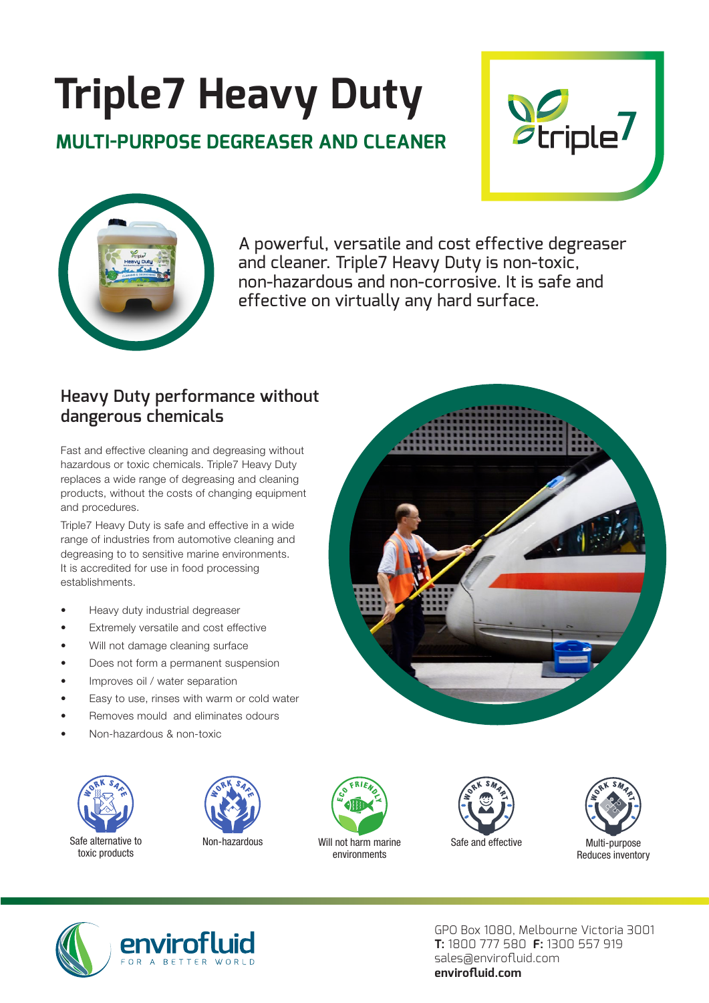# **Triple7 Heavy Duty**

### **MULTI-PURPOSE DEGREASER AND CLEANER**





A powerful, versatile and cost effective degreaser and cleaner. Triple7 Heavy Duty is non-toxic, non-hazardous and non-corrosive. It is safe and effective on virtually any hard surface.

#### **Heavy Duty performance without dangerous chemicals**

Fast and effective cleaning and degreasing without hazardous or toxic chemicals. Triple7 Heavy Duty replaces a wide range of degreasing and cleaning products, without the costs of changing equipment and procedures.

Triple7 Heavy Duty is safe and effective in a wide range of industries from automotive cleaning and degreasing to to sensitive marine environments. It is accredited for use in food processing establishments.

- Heavy duty industrial degreaser
- Extremely versatile and cost effective
- Will not damage cleaning surface
- Does not form a permanent suspension
- Improves oil / water separation
- Easy to use, rinses with warm or cold water
- Removes mould and eliminates odours
- Non-hazardous & non-toxic















GPO Box 1080, Melbourne Victoria 3001 **T:** 1800 777 580 **F:** 1300 557 919 sales@envirofluid.com **envirofluid.com**